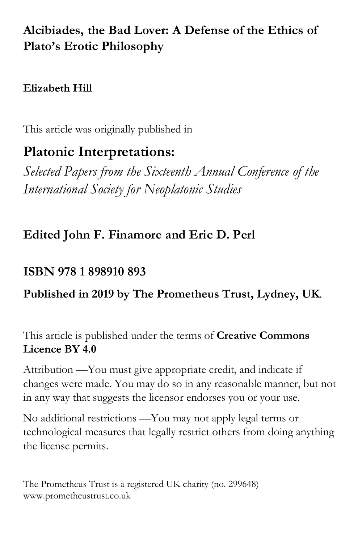# **Alcibiades, the Bad Lover: A Defense of the Ethics of Plato's Erotic Philosophy**

## **Elizabeth Hill**

This article was originally published in

# **Platonic Interpretations:**

*Selected Papers from the Sixteenth Annual Conference of the International Society for Neoplatonic Studies*

# **Edited John F. Finamore and Eric D. Perl**

# **ISBN 978 1 898910 893**

## **Published in 2019 by The Prometheus Trust, Lydney, UK**.

This article is published under the terms of **Creative Commons Licence BY 4.0**

Attribution —You must give appropriate credit, and indicate if changes were made. You may do so in any reasonable manner, but not in any way that suggests the licensor endorses you or your use.

No additional restrictions —You may not apply legal terms or technological measures that legally restrict others from doing anything the license permits.

The Prometheus Trust is a registered UK charity (no. 299648) www.prometheustrust.co.uk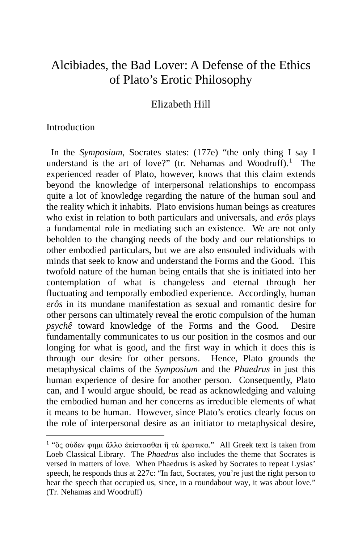## Alcibiades, the Bad Lover: A Defense of the Ethics of Plato's Erotic Philosophy

Elizabeth Hill

### Introduction

 In the *Symposium*, Socrates states: (177e) "the only thing I say I understand is the art of love?" (tr. Nehamas and Woodruff). $<sup>1</sup>$  $<sup>1</sup>$  $<sup>1</sup>$  The</sup> experienced reader of Plato, however, knows that this claim extends beyond the knowledge of interpersonal relationships to encompass quite a lot of knowledge regarding the nature of the human soul and the reality which it inhabits. Plato envisions human beings as creatures who exist in relation to both particulars and universals, and *erôs* plays a fundamental role in mediating such an existence*.* We are not only beholden to the changing needs of the body and our relationships to other embodied particulars, but we are also ensouled individuals with minds that seek to know and understand the Forms and the Good. This twofold nature of the human being entails that she is initiated into her contemplation of what is changeless and eternal through her fluctuating and temporally embodied experience. Accordingly, human *erôs* in its mundane manifestation as sexual and romantic desire for other persons can ultimately reveal the erotic compulsion of the human *psychê* toward knowledge of the Forms and the Good*.* Desire fundamentally communicates to us our position in the cosmos and our longing for what is good, and the first way in which it does this is through our desire for other persons. Hence, Plato grounds the metaphysical claims of the *Symposium* and the *Phaedrus* in just this human experience of desire for another person. Consequently, Plato can, and I would argue should, be read as acknowledging and valuing the embodied human and her concerns as irreducible elements of what it means to be human. However, since Plato's erotics clearly focus on the role of interpersonal desire as an initiator to metaphysical desire,

<span id="page-1-0"></span><sup>&</sup>lt;sup>1</sup> "ὅς οὐδεν φημι ἄλλο ἐπίστασθαι ἢ τὰ ἐρωτικα." All Greek text is taken from Loeb Classical Library. The *Phaedrus* also includes the theme that Socrates is versed in matters of love. When Phaedrus is asked by Socrates to repeat Lysias' speech, he responds thus at 227c: "In fact, Socrates, you're just the right person to hear the speech that occupied us, since, in a roundabout way, it was about love." (Tr. Nehamas and Woodruff)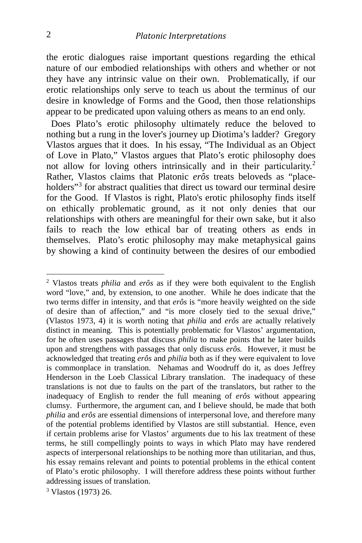the erotic dialogues raise important questions regarding the ethical nature of our embodied relationships with others and whether or not they have any intrinsic value on their own. Problematically, if our erotic relationships only serve to teach us about the terminus of our desire in knowledge of Forms and the Good, then those relationships appear to be predicated upon valuing others as means to an end only.

 Does Plato's erotic philosophy ultimately reduce the beloved to nothing but a rung in the lover's journey up Diotima's ladder? Gregory Vlastos argues that it does. In his essay, "The Individual as an Object of Love in Plato," Vlastos argues that Plato's erotic philosophy does not allow for loving others intrinsically and in their particularity.<sup>[2](#page-2-0)</sup> Rather, Vlastos claims that Platonic *erôs* treats beloveds as "place-holders"<sup>[3](#page-2-1)</sup> for abstract qualities that direct us toward our terminal desire for the Good. If Vlastos is right, Plato's erotic philosophy finds itself on ethically problematic ground, as it not only denies that our relationships with others are meaningful for their own sake, but it also fails to reach the low ethical bar of treating others as ends in themselves. Plato's erotic philosophy may make metaphysical gains by showing a kind of continuity between the desires of our embodied

<span id="page-2-0"></span><sup>2</sup> Vlastos treats *philia* and *erôs* as if they were both equivalent to the English word "love," and, by extension, to one another. While he does indicate that the two terms differ in intensity, and that *erôs* is "more heavily weighted on the side of desire than of affection," and "is more closely tied to the sexual drive," (Vlastos 1973, 4) it is worth noting that *philia* and *erôs* are actually relatively distinct in meaning. This is potentially problematic for Vlastos' argumentation, for he often uses passages that discuss *philia* to make points that he later builds upon and strengthens with passages that only discuss *erôs.* However, it must be acknowledged that treating *erôs* and *philia* both as if they were equivalent to love is commonplace in translation. Nehamas and Woodruff do it, as does Jeffrey Henderson in the Loeb Classical Library translation. The inadequacy of these translations is not due to faults on the part of the translators, but rather to the inadequacy of English to render the full meaning of *erôs* without appearing clumsy. Furthermore, the argument can, and I believe should, be made that both *philia* and *erôs* are essential dimensions of interpersonal love, and therefore many of the potential problems identified by Vlastos are still substantial. Hence, even if certain problems arise for Vlastos' arguments due to his lax treatment of these terms, he still compellingly points to ways in which Plato may have rendered aspects of interpersonal relationships to be nothing more than utilitarian, and thus, his essay remains relevant and points to potential problems in the ethical content of Plato's erotic philosophy. I will therefore address these points without further addressing issues of translation.

<span id="page-2-1"></span><sup>3</sup> Vlastos (1973) 26.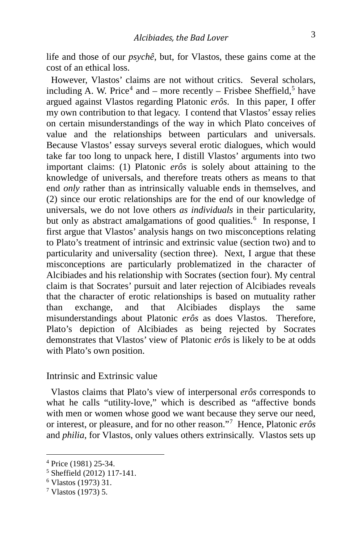life and those of our *psychê*, but, for Vlastos, these gains come at the cost of an ethical loss.

 However, Vlastos' claims are not without critics. Several scholars, including A. W. Price<sup>[4](#page-3-0)</sup> and – more recently – Frisbee Sheffield,<sup>[5](#page-3-1)</sup> have argued against Vlastos regarding Platonic *erôs*. In this paper, I offer my own contribution to that legacy. I contend that Vlastos' essay relies on certain misunderstandings of the way in which Plato conceives of value and the relationships between particulars and universals. Because Vlastos' essay surveys several erotic dialogues, which would take far too long to unpack here, I distill Vlastos' arguments into two important claims: (1) Platonic *erôs* is solely about attaining to the knowledge of universals, and therefore treats others as means to that end *only* rather than as intrinsically valuable ends in themselves, and (2) since our erotic relationships are for the end of our knowledge of universals, we do not love others *as individuals* in their particularity, but only as abstract amalgamations of good qualities.<sup>[6](#page-3-2)</sup> In response, I first argue that Vlastos' analysis hangs on two misconceptions relating to Plato's treatment of intrinsic and extrinsic value (section two) and to particularity and universality (section three). Next, I argue that these misconceptions are particularly problematized in the character of Alcibiades and his relationship with Socrates (section four). My central claim is that Socrates' pursuit and later rejection of Alcibiades reveals that the character of erotic relationships is based on mutuality rather than exchange, and that Alcibiades displays the same misunderstandings about Platonic *erôs* as does Vlastos. Therefore, Plato's depiction of Alcibiades as being rejected by Socrates demonstrates that Vlastos' view of Platonic *erôs* is likely to be at odds with Plato's own position.

#### Intrinsic and Extrinsic value

 Vlastos claims that Plato's view of interpersonal *erôs* corresponds to what he calls "utility-love," which is described as "affective bonds with men or women whose good we want because they serve our need, or interest, or pleasure, and for no other reason."[7](#page-3-3) Hence, Platonic *erôs* and *philia*, for Vlastos, only values others extrinsically. Vlastos sets up

<span id="page-3-0"></span><sup>4</sup> Price (1981) 25-34.

<span id="page-3-1"></span><sup>5</sup> Sheffield (2012) 117-141.

<span id="page-3-2"></span><sup>6</sup> Vlastos (1973) 31.

<span id="page-3-3"></span><sup>7</sup> Vlastos (1973) 5.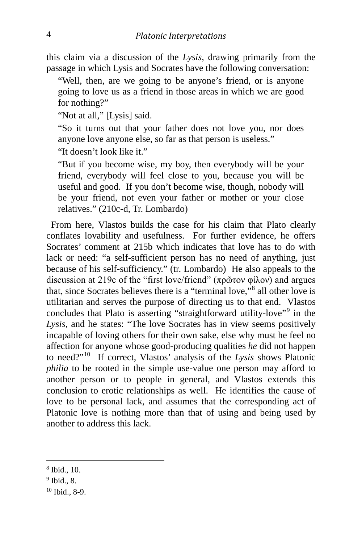this claim via a discussion of the *Lysis*, drawing primarily from the passage in which Lysis and Socrates have the following conversation:

"Well, then, are we going to be anyone's friend, or is anyone going to love us as a friend in those areas in which we are good for nothing?"

"Not at all," [Lysis] said.

"So it turns out that your father does not love you, nor does anyone love anyone else, so far as that person is useless."

"It doesn't look like it."

"But if you become wise, my boy, then everybody will be your friend, everybody will feel close to you, because you will be useful and good. If you don't become wise, though, nobody will be your friend, not even your father or mother or your close relatives." (210c-d, Tr. Lombardo)

 From here, Vlastos builds the case for his claim that Plato clearly conflates lovability and usefulness. For further evidence, he offers Socrates' comment at 215b which indicates that love has to do with lack or need: "a self-sufficient person has no need of anything, just because of his self-sufficiency." (tr. Lombardo) He also appeals to the discussion at 219c of the "first love/friend" (πρῶτον φίλον) and argues that, since Socrates believes there is a "terminal love,"[8](#page-4-0) all other love is utilitarian and serves the purpose of directing us to that end. Vlastos concludes that Plato is asserting "straightforward utility-love"<sup>[9](#page-4-1)</sup> in the *Lysis*, and he states: "The love Socrates has in view seems positively incapable of loving others for their own sake, else why must he feel no affection for anyone whose good-producing qualities *he* did not happen to need?"[10](#page-4-2) If correct, Vlastos' analysis of the *Lysis* shows Platonic *philia* to be rooted in the simple use-value one person may afford to another person or to people in general, and Vlastos extends this conclusion to erotic relationships as well. He identifies the cause of love to be personal lack, and assumes that the corresponding act of Platonic love is nothing more than that of using and being used by another to address this lack.

<span id="page-4-0"></span><sup>8</sup> Ibid., 10.

<span id="page-4-1"></span><sup>9</sup> Ibid., 8.

<span id="page-4-2"></span><sup>10</sup> Ibid., 8-9.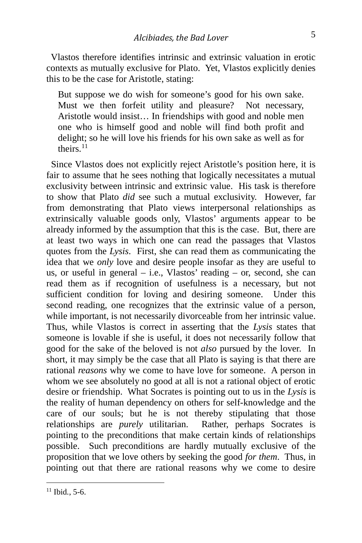Vlastos therefore identifies intrinsic and extrinsic valuation in erotic contexts as mutually exclusive for Plato. Yet, Vlastos explicitly denies this to be the case for Aristotle, stating:

But suppose we do wish for someone's good for his own sake. Must we then forfeit utility and pleasure? Not necessary, Aristotle would insist… In friendships with good and noble men one who is himself good and noble will find both profit and delight; so he will love his friends for his own sake as well as for theirs<sup>[11](#page-5-0)</sup>

Since Vlastos does not explicitly reject Aristotle's position here, it is fair to assume that he sees nothing that logically necessitates a mutual exclusivity between intrinsic and extrinsic value. His task is therefore to show that Plato *did* see such a mutual exclusivity. However, far from demonstrating that Plato views interpersonal relationships as extrinsically valuable goods only, Vlastos' arguments appear to be already informed by the assumption that this is the case. But, there are at least two ways in which one can read the passages that Vlastos quotes from the *Lysis*. First, she can read them as communicating the idea that we *only* love and desire people insofar as they are useful to us, or useful in general  $-$  i.e., Vlastos' reading  $-$  or, second, she can read them as if recognition of usefulness is a necessary, but not sufficient condition for loving and desiring someone. Under this second reading, one recognizes that the extrinsic value of a person, while important, is not necessarily divorceable from her intrinsic value. Thus, while Vlastos is correct in asserting that the *Lysis* states that someone is lovable if she is useful, it does not necessarily follow that good for the sake of the beloved is not *also* pursued by the lover. In short, it may simply be the case that all Plato is saying is that there are rational *reasons* why we come to have love for someone. A person in whom we see absolutely no good at all is not a rational object of erotic desire or friendship. What Socrates is pointing out to us in the *Lysis* is the reality of human dependency on others for self-knowledge and the care of our souls; but he is not thereby stipulating that those relationships are *purely* utilitarian. Rather, perhaps Socrates is pointing to the preconditions that make certain kinds of relationships possible. Such preconditions are hardly mutually exclusive of the proposition that we love others by seeking the good *for them*. Thus, in pointing out that there are rational reasons why we come to desire

<span id="page-5-0"></span><sup>11</sup> Ibid*.*, 5-6.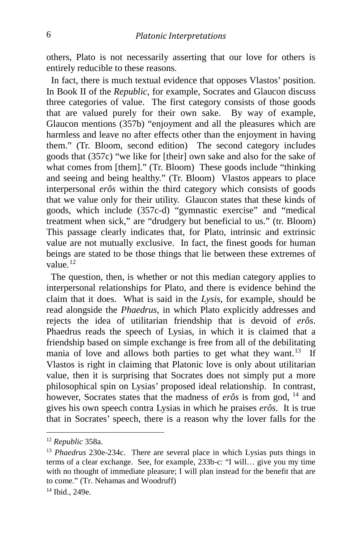others, Plato is not necessarily asserting that our love for others is entirely reducible to these reasons.

 In fact, there is much textual evidence that opposes Vlastos' position. In Book II of the *Republic*, for example, Socrates and Glaucon discuss three categories of value. The first category consists of those goods that are valued purely for their own sake. By way of example, Glaucon mentions (357b) "enjoyment and all the pleasures which are harmless and leave no after effects other than the enjoyment in having them." (Tr. Bloom, second edition) The second category includes goods that (357c) "we like for [their] own sake and also for the sake of what comes from [them]." (Tr. Bloom) These goods include "thinking" and seeing and being healthy." (Tr. Bloom) Vlastos appears to place interpersonal *erôs* within the third category which consists of goods that we value only for their utility. Glaucon states that these kinds of goods, which include (357c-d) "gymnastic exercise" and "medical treatment when sick," are "drudgery but beneficial to us." (tr. Bloom) This passage clearly indicates that, for Plato, intrinsic and extrinsic value are not mutually exclusive. In fact, the finest goods for human beings are stated to be those things that lie between these extremes of value<sup>[12](#page-6-0)</sup>

 The question, then, is whether or not this median category applies to interpersonal relationships for Plato, and there is evidence behind the claim that it does. What is said in the *Lysis*, for example, should be read alongside the *Phaedrus,* in which Plato explicitly addresses and rejects the idea of utilitarian friendship that is devoid of *erôs*. Phaedrus reads the speech of Lysias, in which it is claimed that a friendship based on simple exchange is free from all of the debilitating mania of love and allows both parties to get what they want.<sup>13</sup> If Vlastos is right in claiming that Platonic love is only about utilitarian value, then it is surprising that Socrates does not simply put a more philosophical spin on Lysias' proposed ideal relationship. In contrast, however, Socrates states that the madness of *erôs* is from god, <sup>[14](#page-6-2)</sup> and gives his own speech contra Lysias in which he praises *erôs*. It is true that in Socrates' speech, there is a reason why the lover falls for the

<span id="page-6-0"></span><sup>12</sup> *Republic* 358a.

<span id="page-6-1"></span><sup>13</sup> *Phaedrus* 230e-234c. There are several place in which Lysias puts things in terms of a clear exchange. See, for example, 233b-c: "I will… give you my time with no thought of immediate pleasure; I will plan instead for the benefit that are to come." (Tr. Nehamas and Woodruff)

<span id="page-6-2"></span><sup>14</sup> Ibid., 249e.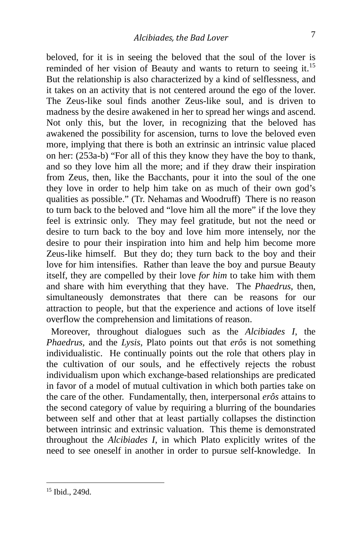beloved, for it is in seeing the beloved that the soul of the lover is reminded of her vision of Beauty and wants to return to seeing it.<sup>[15](#page-7-0)</sup> But the relationship is also characterized by a kind of selflessness, and it takes on an activity that is not centered around the ego of the lover. The Zeus-like soul finds another Zeus-like soul, and is driven to madness by the desire awakened in her to spread her wings and ascend. Not only this, but the lover, in recognizing that the beloved has awakened the possibility for ascension, turns to love the beloved even more, implying that there is both an extrinsic an intrinsic value placed on her: (253a-b) "For all of this they know they have the boy to thank, and so they love him all the more; and if they draw their inspiration from Zeus, then, like the Bacchants, pour it into the soul of the one they love in order to help him take on as much of their own god's qualities as possible." (Tr. Nehamas and Woodruff) There is no reason to turn back to the beloved and "love him all the more" if the love they feel is extrinsic only. They may feel gratitude, but not the need or desire to turn back to the boy and love him more intensely, nor the desire to pour their inspiration into him and help him become more Zeus-like himself. But they do; they turn back to the boy and their love for him intensifies. Rather than leave the boy and pursue Beauty itself, they are compelled by their love *for him* to take him with them and share with him everything that they have. The *Phaedrus*, then, simultaneously demonstrates that there can be reasons for our attraction to people, but that the experience and actions of love itself overflow the comprehension and limitations of reason.

 Moreover, throughout dialogues such as the *Alcibiades I*, the *Phaedrus,* and the *Lysis,* Plato points out that *erôs* is not something individualistic. He continually points out the role that others play in the cultivation of our souls, and he effectively rejects the robust individualism upon which exchange-based relationships are predicated in favor of a model of mutual cultivation in which both parties take on the care of the other. Fundamentally, then, interpersonal *erôs* attains to the second category of value by requiring a blurring of the boundaries between self and other that at least partially collapses the distinction between intrinsic and extrinsic valuation. This theme is demonstrated throughout the *Alcibiades I*, in which Plato explicitly writes of the need to see oneself in another in order to pursue self-knowledge. In

<span id="page-7-0"></span><sup>15</sup> Ibid., 249d.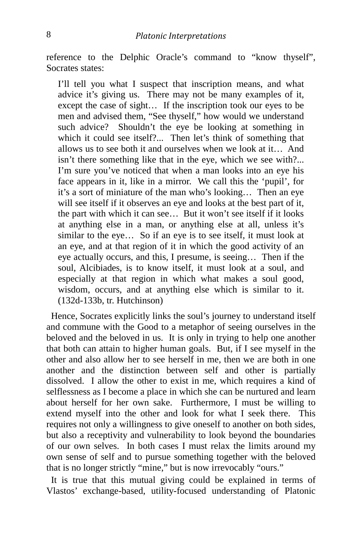reference to the Delphic Oracle's command to "know thyself", Socrates states:

I'll tell you what I suspect that inscription means, and what advice it's giving us. There may not be many examples of it, except the case of sight… If the inscription took our eyes to be men and advised them, "See thyself," how would we understand such advice? Shouldn't the eye be looking at something in which it could see itself?... Then let's think of something that allows us to see both it and ourselves when we look at it… And isn't there something like that in the eye, which we see with?... I'm sure you've noticed that when a man looks into an eye his face appears in it, like in a mirror. We call this the 'pupil', for it's a sort of miniature of the man who's looking… Then an eye will see itself if it observes an eye and looks at the best part of it, the part with which it can see… But it won't see itself if it looks at anything else in a man, or anything else at all, unless it's similar to the eye… So if an eye is to see itself, it must look at an eye, and at that region of it in which the good activity of an eye actually occurs, and this, I presume, is seeing… Then if the soul, Alcibiades, is to know itself, it must look at a soul, and especially at that region in which what makes a soul good, wisdom, occurs, and at anything else which is similar to it. (132d-133b, tr. Hutchinson)

 Hence, Socrates explicitly links the soul's journey to understand itself and commune with the Good to a metaphor of seeing ourselves in the beloved and the beloved in us. It is only in trying to help one another that both can attain to higher human goals. But, if I see myself in the other and also allow her to see herself in me, then we are both in one another and the distinction between self and other is partially dissolved. I allow the other to exist in me, which requires a kind of selflessness as I become a place in which she can be nurtured and learn about herself for her own sake. Furthermore, I must be willing to extend myself into the other and look for what I seek there. This requires not only a willingness to give oneself to another on both sides, but also a receptivity and vulnerability to look beyond the boundaries of our own selves. In both cases I must relax the limits around my own sense of self and to pursue something together with the beloved that is no longer strictly "mine," but is now irrevocably "ours."

 It is true that this mutual giving could be explained in terms of Vlastos' exchange-based, utility-focused understanding of Platonic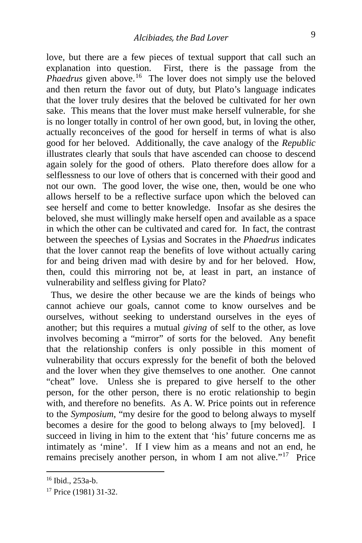love, but there are a few pieces of textual support that call such an explanation into question. First, there is the passage from the *Phaedrus* given above.<sup>[16](#page-9-0)</sup> The lover does not simply use the beloved and then return the favor out of duty, but Plato's language indicates that the lover truly desires that the beloved be cultivated for her own sake. This means that the lover must make herself vulnerable, for she is no longer totally in control of her own good, but, in loving the other, actually reconceives of the good for herself in terms of what is also good for her beloved. Additionally, the cave analogy of the *Republic* illustrates clearly that souls that have ascended can choose to descend again solely for the good of others. Plato therefore does allow for a selflessness to our love of others that is concerned with their good and not our own. The good lover, the wise one, then, would be one who allows herself to be a reflective surface upon which the beloved can see herself and come to better knowledge. Insofar as she desires the beloved, she must willingly make herself open and available as a space in which the other can be cultivated and cared for. In fact, the contrast between the speeches of Lysias and Socrates in the *Phaedrus* indicates that the lover cannot reap the benefits of love without actually caring for and being driven mad with desire by and for her beloved. How, then, could this mirroring not be, at least in part, an instance of vulnerability and selfless giving for Plato?

 Thus, we desire the other because we are the kinds of beings who cannot achieve our goals, cannot come to know ourselves and be ourselves, without seeking to understand ourselves in the eyes of another; but this requires a mutual *giving* of self to the other, as love involves becoming a "mirror" of sorts for the beloved. Any benefit that the relationship confers is only possible in this moment of vulnerability that occurs expressly for the benefit of both the beloved and the lover when they give themselves to one another. One cannot "cheat" love. Unless she is prepared to give herself to the other person, for the other person, there is no erotic relationship to begin with, and therefore no benefits. As A. W. Price points out in reference to the *Symposium*, "my desire for the good to belong always to myself becomes a desire for the good to belong always to [my beloved]. I succeed in living in him to the extent that 'his' future concerns me as intimately as 'mine'. If I view him as a means and not an end, he remains precisely another person, in whom I am not alive."[17](#page-9-1) Price

<span id="page-9-0"></span><sup>16</sup> Ibid., 253a-b.

<span id="page-9-1"></span><sup>17</sup> Price (1981) 31-32.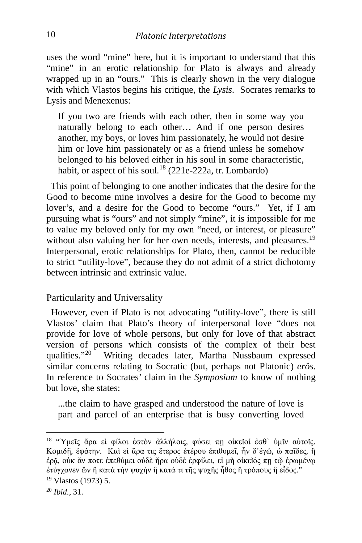uses the word "mine" here, but it is important to understand that this "mine" in an erotic relationship for Plato is always and already wrapped up in an "ours." This is clearly shown in the very dialogue with which Vlastos begins his critique, the *Lysis*. Socrates remarks to Lysis and Menexenus:

If you two are friends with each other, then in some way you naturally belong to each other… And if one person desires another, my boys, or loves him passionately, he would not desire him or love him passionately or as a friend unless he somehow belonged to his beloved either in his soul in some characteristic, habit, or aspect of his soul.<sup>[18](#page-10-0)</sup> (221e-222a, tr. Lombardo)

 This point of belonging to one another indicates that the desire for the Good to become mine involves a desire for the Good to become my lover's, and a desire for the Good to become "ours." Yet, if I am pursuing what is "ours" and not simply "mine", it is impossible for me to value my beloved only for my own "need, or interest, or pleasure" without also valuing her for her own needs, interests, and pleasures.<sup>[19](#page-10-1)</sup> Interpersonal, erotic relationships for Plato, then, cannot be reducible to strict "utility-love", because they do not admit of a strict dichotomy between intrinsic and extrinsic value.

### Particularity and Universality

 However, even if Plato is not advocating "utility-love", there is still Vlastos' claim that Plato's theory of interpersonal love "does not provide for love of whole persons, but only for love of that abstract version of persons which consists of the complex of their best qualities."<sup>20</sup> Writing decades later, Martha Nussbaum expressed Writing decades later, Martha Nussbaum expressed similar concerns relating to Socratic (but, perhaps not Platonic) *erôs*. In reference to Socrates' claim in the *Symposium* to know of nothing but love, she states:

...the claim to have grasped and understood the nature of love is part and parcel of an enterprise that is busy converting loved

<span id="page-10-0"></span><sup>18</sup> "Ὑμεῖς ἄρα εὶ φίλοι ἐστὸν ἀλλήλοις, φύσει πῃ οἰκεῖοί ἐσθ᾽ ὑμῖν αὐτοῖς. Κομιδῆ, ἐφάτην. Καὶ εἰ ἄρα τις ἕτερος ἑτέρου ἐπιθυμεῖ, ἦν δ'ἐγώ, ώ παῖδες, ἢ ἐρᾷ, οὐκ ἄν ποτε ἐπεθύμει οὐδὲ ἤρα οὐδὲ ἐρφίλει, εἰ μὴ οἰκεῖός πῃ τῷ ἐρωμένῳ ἐτύγχανεν ὢν ἢ κατὰ τὴν ψυχὴν ἢ κατά τι τῆς ψυχῆς ἦθος ἢ τρόπους ἢ εἶδος."

<span id="page-10-1"></span><sup>19</sup> Vlastos (1973) 5.

<span id="page-10-2"></span><sup>20</sup> *Ibid.*, 31.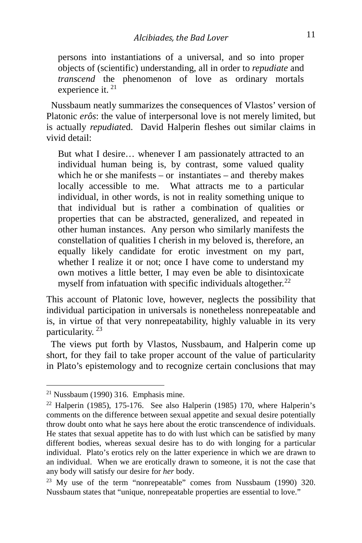persons into instantiations of a universal, and so into proper objects of (scientific) understanding, all in order to *repudiate* and *transcend* the phenomenon of love as ordinary mortals experience it.<sup>[21](#page-11-0)</sup>

 Nussbaum neatly summarizes the consequences of Vlastos' version of Platonic *erôs*: the value of interpersonal love is not merely limited, but is actually *repudiate*d. David Halperin fleshes out similar claims in vivid detail:

But what I desire… whenever I am passionately attracted to an individual human being is, by contrast, some valued quality which he or she manifests – or instantiates – and thereby makes locally accessible to me. What attracts me to a particular individual, in other words, is not in reality something unique to that individual but is rather a combination of qualities or properties that can be abstracted, generalized, and repeated in other human instances. Any person who similarly manifests the constellation of qualities I cherish in my beloved is, therefore, an equally likely candidate for erotic investment on my part, whether I realize it or not; once I have come to understand my own motives a little better, I may even be able to disintoxicate myself from infatuation with specific individuals altogether. $^{22}$  $^{22}$  $^{22}$ 

This account of Platonic love, however, neglects the possibility that individual participation in universals is nonetheless nonrepeatable and is, in virtue of that very nonrepeatability, highly valuable in its very particularity.<sup>[23](#page-11-2)</sup>

 The views put forth by Vlastos, Nussbaum, and Halperin come up short, for they fail to take proper account of the value of particularity in Plato's epistemology and to recognize certain conclusions that may

<span id="page-11-0"></span> $21$  Nussbaum (1990) 316. Emphasis mine.

<span id="page-11-1"></span><sup>&</sup>lt;sup>22</sup> Halperin (1985), 175-176. See also Halperin (1985) 170, where Halperin's comments on the difference between sexual appetite and sexual desire potentially throw doubt onto what he says here about the erotic transcendence of individuals. He states that sexual appetite has to do with lust which can be satisfied by many different bodies, whereas sexual desire has to do with longing for a particular individual. Plato's erotics rely on the latter experience in which we are drawn to an individual. When we are erotically drawn to someone, it is not the case that any body will satisfy our desire for *her* body.

<span id="page-11-2"></span><sup>&</sup>lt;sup>23</sup> My use of the term "nonrepeatable" comes from Nussbaum (1990) 320. Nussbaum states that "unique, nonrepeatable properties are essential to love."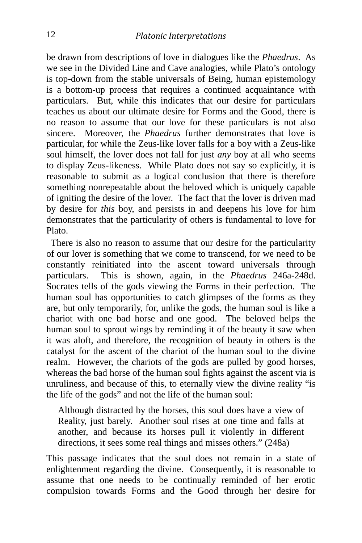be drawn from descriptions of love in dialogues like the *Phaedrus*. As we see in the Divided Line and Cave analogies, while Plato's ontology is top-down from the stable universals of Being, human epistemology is a bottom-up process that requires a continued acquaintance with particulars. But, while this indicates that our desire for particulars teaches us about our ultimate desire for Forms and the Good, there is no reason to assume that our love for these particulars is not also sincere. Moreover, the *Phaedrus* further demonstrates that love is particular, for while the Zeus-like lover falls for a boy with a Zeus-like soul himself, the lover does not fall for just *any* boy at all who seems to display Zeus-likeness. While Plato does not say so explicitly, it is reasonable to submit as a logical conclusion that there is therefore something nonrepeatable about the beloved which is uniquely capable of igniting the desire of the lover. The fact that the lover is driven mad by desire for *this* boy, and persists in and deepens his love for him demonstrates that the particularity of others is fundamental to love for Plato.

 There is also no reason to assume that our desire for the particularity of our lover is something that we come to transcend, for we need to be constantly reinitiated into the ascent toward universals through particulars. This is shown, again, in the *Phaedrus* 246a-248d. Socrates tells of the gods viewing the Forms in their perfection. The human soul has opportunities to catch glimpses of the forms as they are, but only temporarily, for, unlike the gods, the human soul is like a chariot with one bad horse and one good. The beloved helps the human soul to sprout wings by reminding it of the beauty it saw when it was aloft, and therefore, the recognition of beauty in others is the catalyst for the ascent of the chariot of the human soul to the divine realm. However, the chariots of the gods are pulled by good horses, whereas the bad horse of the human soul fights against the ascent via is unruliness, and because of this, to eternally view the divine reality "is the life of the gods" and not the life of the human soul:

Although distracted by the horses, this soul does have a view of Reality, just barely. Another soul rises at one time and falls at another, and because its horses pull it violently in different directions, it sees some real things and misses others." (248a)

This passage indicates that the soul does not remain in a state of enlightenment regarding the divine. Consequently, it is reasonable to assume that one needs to be continually reminded of her erotic compulsion towards Forms and the Good through her desire for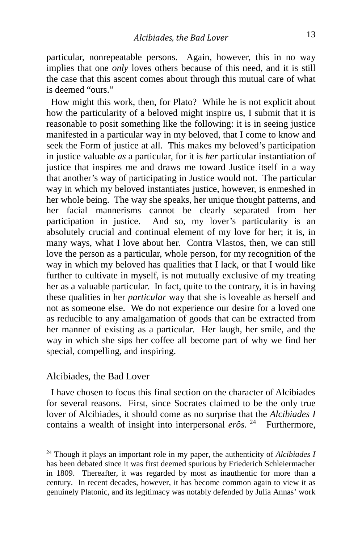particular, nonrepeatable persons. Again, however, this in no way implies that one *only* loves others because of this need, and it is still the case that this ascent comes about through this mutual care of what is deemed "ours."

 How might this work, then, for Plato? While he is not explicit about how the particularity of a beloved might inspire us, I submit that it is reasonable to posit something like the following: it is in seeing justice manifested in a particular way in my beloved, that I come to know and seek the Form of justice at all. This makes my beloved's participation in justice valuable *as* a particular, for it is *her* particular instantiation of justice that inspires me and draws me toward Justice itself in a way that another's way of participating in Justice would not. The particular way in which my beloved instantiates justice, however, is enmeshed in her whole being. The way she speaks, her unique thought patterns, and her facial mannerisms cannot be clearly separated from her participation in justice. And so, my lover's particularity is an absolutely crucial and continual element of my love for her; it is, in many ways, what I love about her. Contra Vlastos, then, we can still love the person as a particular, whole person, for my recognition of the way in which my beloved has qualities that I lack, or that I would like further to cultivate in myself, is not mutually exclusive of my treating her as a valuable particular. In fact, quite to the contrary, it is in having these qualities in her *particular* way that she is loveable as herself and not as someone else. We do not experience our desire for a loved one as reducible to any amalgamation of goods that can be extracted from her manner of existing as a particular. Her laugh, her smile, and the way in which she sips her coffee all become part of why we find her special, compelling, and inspiring.

### Alcibiades, the Bad Lover

 I have chosen to focus this final section on the character of Alcibiades for several reasons. First, since Socrates claimed to be the only true lover of Alcibiades, it should come as no surprise that the *Alcibiades I* contains a wealth of insight into interpersonal *erôs*. [24](#page-13-0) Furthermore,

<span id="page-13-0"></span><sup>24</sup> Though it plays an important role in my paper, the authenticity of *Alcibiades I* has been debated since it was first deemed spurious by Friederich Schleiermacher in 1809. Thereafter, it was regarded by most as inauthentic for more than a century. In recent decades, however, it has become common again to view it as genuinely Platonic, and its legitimacy was notably defended by Julia Annas' work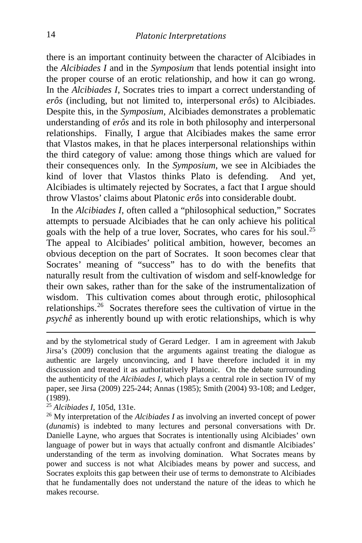there is an important continuity between the character of Alcibiades in the *Alcibiades I* and in the *Symposium* that lends potential insight into the proper course of an erotic relationship, and how it can go wrong. In the *Alcibiades I*, Socrates tries to impart a correct understanding of *erôs* (including, but not limited to, interpersonal *erôs*) to Alcibiades. Despite this, in the *Symposium,* Alcibiades demonstrates a problematic understanding of *erôs* and its role in both philosophy and interpersonal relationships. Finally, I argue that Alcibiades makes the same error that Vlastos makes, in that he places interpersonal relationships within the third category of value: among those things which are valued for their consequences only. In the *Symposium*, we see in Alcibiades the kind of lover that Vlastos thinks Plato is defending. And yet, Alcibiades is ultimately rejected by Socrates, a fact that I argue should throw Vlastos' claims about Platonic *erôs* into considerable doubt.

 In the *Alcibiades I*, often called a "philosophical seduction," Socrates attempts to persuade Alcibiades that he can only achieve his political goals with the help of a true lover, Socrates, who cares for his soul.[25](#page-14-0) The appeal to Alcibiades' political ambition, however, becomes an obvious deception on the part of Socrates. It soon becomes clear that Socrates' meaning of "success" has to do with the benefits that naturally result from the cultivation of wisdom and self-knowledge for their own sakes, rather than for the sake of the instrumentalization of wisdom. This cultivation comes about through erotic, philosophical relationships.[26](#page-14-1) Socrates therefore sees the cultivation of virtue in the *psychê* as inherently bound up with erotic relationships, which is why

and by the stylometrical study of Gerard Ledger. I am in agreement with Jakub Jirsa's (2009) conclusion that the arguments against treating the dialogue as authentic are largely unconvincing, and I have therefore included it in my discussion and treated it as authoritatively Platonic. On the debate surrounding the authenticity of the *Alcibiades I*, which plays a central role in section IV of my paper, see Jirsa (2009) 225-244; Annas (1985); Smith (2004) 93-108; and Ledger, (1989).

<span id="page-14-0"></span><sup>25</sup> *Alcibiades I*, 105d, 131e.

<span id="page-14-1"></span><sup>26</sup> My interpretation of the *Alcibiades I* as involving an inverted concept of power (*dunamis*) is indebted to many lectures and personal conversations with Dr. Danielle Layne, who argues that Socrates is intentionally using Alcibiades' own language of power but in ways that actually confront and dismantle Alcibiades' understanding of the term as involving domination. What Socrates means by power and success is not what Alcibiades means by power and success, and Socrates exploits this gap between their use of terms to demonstrate to Alcibiades that he fundamentally does not understand the nature of the ideas to which he makes recourse.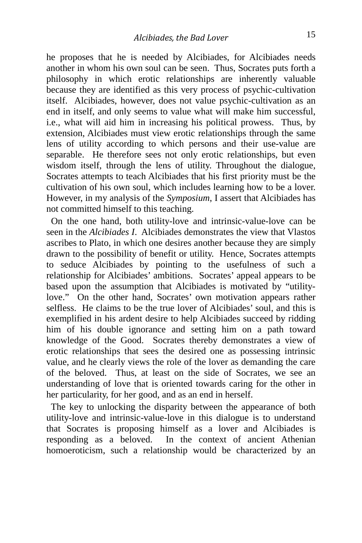he proposes that he is needed by Alcibiades, for Alcibiades needs another in whom his own soul can be seen. Thus, Socrates puts forth a philosophy in which erotic relationships are inherently valuable because they are identified as this very process of psychic-cultivation itself. Alcibiades, however, does not value psychic-cultivation as an end in itself, and only seems to value what will make him successful, i.e., what will aid him in increasing his political prowess. Thus, by extension, Alcibiades must view erotic relationships through the same lens of utility according to which persons and their use-value are separable. He therefore sees not only erotic relationships, but even wisdom itself, through the lens of utility. Throughout the dialogue, Socrates attempts to teach Alcibiades that his first priority must be the cultivation of his own soul, which includes learning how to be a lover. However, in my analysis of the *Symposium*, I assert that Alcibiades has not committed himself to this teaching.

 On the one hand, both utility-love and intrinsic-value-love can be seen in the *Alcibiades I*. Alcibiades demonstrates the view that Vlastos ascribes to Plato, in which one desires another because they are simply drawn to the possibility of benefit or utility. Hence, Socrates attempts to seduce Alcibiades by pointing to the usefulness of such a relationship for Alcibiades' ambitions. Socrates' appeal appears to be based upon the assumption that Alcibiades is motivated by "utilitylove." On the other hand, Socrates' own motivation appears rather selfless. He claims to be the true lover of Alcibiades' soul, and this is exemplified in his ardent desire to help Alcibiades succeed by ridding him of his double ignorance and setting him on a path toward knowledge of the Good. Socrates thereby demonstrates a view of erotic relationships that sees the desired one as possessing intrinsic value, and he clearly views the role of the lover as demanding the care of the beloved. Thus, at least on the side of Socrates, we see an understanding of love that is oriented towards caring for the other in her particularity, for her good, and as an end in herself.

 The key to unlocking the disparity between the appearance of both utility-love and intrinsic-value-love in this dialogue is to understand that Socrates is proposing himself as a lover and Alcibiades is responding as a beloved. In the context of ancient Athenian homoeroticism, such a relationship would be characterized by an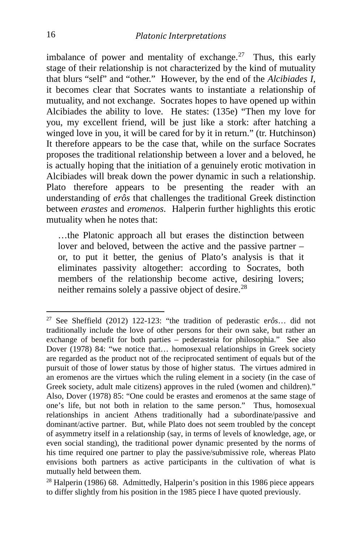imbalance of power and mentality of exchange.<sup>27</sup> Thus, this early stage of their relationship is not characterized by the kind of mutuality that blurs "self" and "other." However, by the end of the *Alcibiades I*, it becomes clear that Socrates wants to instantiate a relationship of mutuality, and not exchange. Socrates hopes to have opened up within Alcibiades the ability to love. He states: (135e) "Then my love for you, my excellent friend, will be just like a stork: after hatching a winged love in you, it will be cared for by it in return." (tr. Hutchinson) It therefore appears to be the case that, while on the surface Socrates proposes the traditional relationship between a lover and a beloved, he is actually hoping that the initiation of a genuinely erotic motivation in Alcibiades will break down the power dynamic in such a relationship. Plato therefore appears to be presenting the reader with an understanding of *erôs* that challenges the traditional Greek distinction between *erastes* and *eromenos*. Halperin further highlights this erotic mutuality when he notes that:

…the Platonic approach all but erases the distinction between lover and beloved, between the active and the passive partner – or, to put it better, the genius of Plato's analysis is that it eliminates passivity altogether: according to Socrates, both members of the relationship become active, desiring lovers; neither remains solely a passive object of desire.<sup>[28](#page-16-1)</sup>

<span id="page-16-0"></span><sup>27</sup> See Sheffield (2012) 122-123: "the tradition of pederastic e*rôs*… did not traditionally include the love of other persons for their own sake, but rather an exchange of benefit for both parties – pederasteia for philosophia." See also Dover (1978) 84: "we notice that… homosexual relationships in Greek society are regarded as the product not of the reciprocated sentiment of equals but of the pursuit of those of lower status by those of higher status. The virtues admired in an eromenos are the virtues which the ruling element in a society (in the case of Greek society, adult male citizens) approves in the ruled (women and children)." Also, Dover (1978) 85: "One could be erastes and eromenos at the same stage of one's life, but not both in relation to the same person." Thus, homosexual relationships in ancient Athens traditionally had a subordinate/passive and dominant/active partner. But, while Plato does not seem troubled by the concept of asymmetry itself in a relationship (say, in terms of levels of knowledge, age, or even social standing), the traditional power dynamic presented by the norms of his time required one partner to play the passive/submissive role, whereas Plato envisions both partners as active participants in the cultivation of what is mutually held between them.

<span id="page-16-1"></span><sup>28</sup> Halperin (1986) 68. Admittedly, Halperin's position in this 1986 piece appears to differ slightly from his position in the 1985 piece I have quoted previously.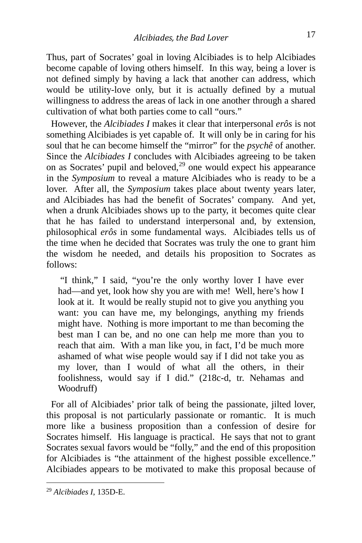Thus, part of Socrates' goal in loving Alcibiades is to help Alcibiades become capable of loving others himself. In this way, being a lover is not defined simply by having a lack that another can address, which would be utility-love only, but it is actually defined by a mutual willingness to address the areas of lack in one another through a shared cultivation of what both parties come to call "ours."

 However, the *Alcibiades I* makes it clear that interpersonal *erôs* is not something Alcibiades is yet capable of. It will only be in caring for his soul that he can become himself the "mirror" for the *psychê* of another. Since the *Alcibiades I* concludes with Alcibiades agreeing to be taken on as Socrates' pupil and beloved, $29$  one would expect his appearance in the *Symposium* to reveal a mature Alcibiades who is ready to be a lover. After all, the *Symposium* takes place about twenty years later, and Alcibiades has had the benefit of Socrates' company. And yet, when a drunk Alcibiades shows up to the party, it becomes quite clear that he has failed to understand interpersonal and, by extension, philosophical *erôs* in some fundamental ways. Alcibiades tells us of the time when he decided that Socrates was truly the one to grant him the wisdom he needed, and details his proposition to Socrates as follows:

"I think," I said, "you're the only worthy lover I have ever had—and yet, look how shy you are with me! Well, here's how I look at it. It would be really stupid not to give you anything you want: you can have me, my belongings, anything my friends might have. Nothing is more important to me than becoming the best man I can be, and no one can help me more than you to reach that aim. With a man like you, in fact, I'd be much more ashamed of what wise people would say if I did not take you as my lover, than I would of what all the others, in their foolishness, would say if I did." (218c-d, tr. Nehamas and Woodruff)

 For all of Alcibiades' prior talk of being the passionate, jilted lover, this proposal is not particularly passionate or romantic. It is much more like a business proposition than a confession of desire for Socrates himself. His language is practical. He says that not to grant Socrates sexual favors would be "folly," and the end of this proposition for Alcibiades is "the attainment of the highest possible excellence." Alcibiades appears to be motivated to make this proposal because of

<span id="page-17-0"></span><sup>29</sup> *Alcibiades I*, 135D-E.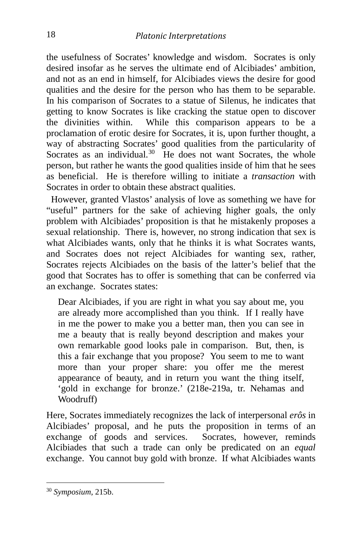the usefulness of Socrates' knowledge and wisdom. Socrates is only desired insofar as he serves the ultimate end of Alcibiades' ambition, and not as an end in himself, for Alcibiades views the desire for good qualities and the desire for the person who has them to be separable. In his comparison of Socrates to a statue of Silenus, he indicates that getting to know Socrates is like cracking the statue open to discover the divinities within. While this comparison appears to be a proclamation of erotic desire for Socrates, it is, upon further thought, a way of abstracting Socrates' good qualities from the particularity of Socrates as an individual. $30\,$  $30\,$  He does not want Socrates, the whole person, but rather he wants the good qualities inside of him that he sees as beneficial. He is therefore willing to initiate a *transaction* with Socrates in order to obtain these abstract qualities.

 However, granted Vlastos' analysis of love as something we have for "useful" partners for the sake of achieving higher goals, the only problem with Alcibiades' proposition is that he mistakenly proposes a sexual relationship. There is, however, no strong indication that sex is what Alcibiades wants, only that he thinks it is what Socrates wants, and Socrates does not reject Alcibiades for wanting sex, rather, Socrates rejects Alcibiades on the basis of the latter's belief that the good that Socrates has to offer is something that can be conferred via an exchange. Socrates states:

Dear Alcibiades, if you are right in what you say about me, you are already more accomplished than you think. If I really have in me the power to make you a better man, then you can see in me a beauty that is really beyond description and makes your own remarkable good looks pale in comparison. But, then, is this a fair exchange that you propose? You seem to me to want more than your proper share: you offer me the merest appearance of beauty, and in return you want the thing itself, 'gold in exchange for bronze.' (218e-219a, tr. Nehamas and Woodruff)

Here, Socrates immediately recognizes the lack of interpersonal *erôs* in Alcibiades' proposal, and he puts the proposition in terms of an exchange of goods and services. Socrates, however, reminds Alcibiades that such a trade can only be predicated on an *equal* exchange. You cannot buy gold with bronze. If what Alcibiades wants

<span id="page-18-0"></span><sup>30</sup> *Symposium*, 215b.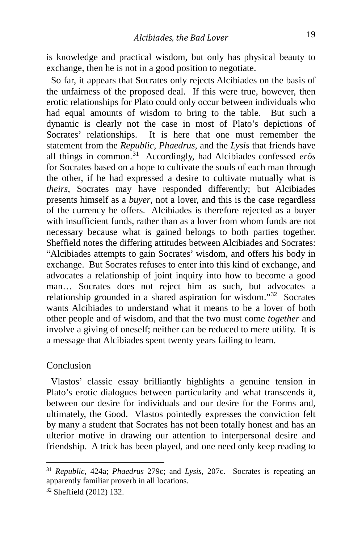is knowledge and practical wisdom, but only has physical beauty to exchange, then he is not in a good position to negotiate.

 So far, it appears that Socrates only rejects Alcibiades on the basis of the unfairness of the proposed deal. If this were true, however, then erotic relationships for Plato could only occur between individuals who had equal amounts of wisdom to bring to the table. But such a dynamic is clearly not the case in most of Plato's depictions of Socrates' relationships. It is here that one must remember the statement from the *Republic, Phaedrus*, and the *Lysis* that friends have all things in common.[31](#page-19-0) Accordingly, had Alcibiades confessed *erôs* for Socrates based on a hope to cultivate the souls of each man through the other, if he had expressed a desire to cultivate mutually what is *theirs*, Socrates may have responded differently; but Alcibiades presents himself as a *buyer*, not a lover, and this is the case regardless of the currency he offers. Alcibiades is therefore rejected as a buyer with insufficient funds, rather than as a lover from whom funds are not necessary because what is gained belongs to both parties together. Sheffield notes the differing attitudes between Alcibiades and Socrates: "Alcibiades attempts to gain Socrates' wisdom, and offers his body in exchange. But Socrates refuses to enter into this kind of exchange, and advocates a relationship of joint inquiry into how to become a good man… Socrates does not reject him as such, but advocates a relationship grounded in a shared aspiration for wisdom."[32](#page-19-1) Socrates wants Alcibiades to understand what it means to be a lover of both other people and of wisdom, and that the two must come *together* and involve a giving of oneself; neither can be reduced to mere utility. It is a message that Alcibiades spent twenty years failing to learn.

#### Conclusion

 Vlastos' classic essay brilliantly highlights a genuine tension in Plato's erotic dialogues between particularity and what transcends it, between our desire for individuals and our desire for the Forms and, ultimately, the Good. Vlastos pointedly expresses the conviction felt by many a student that Socrates has not been totally honest and has an ulterior motive in drawing our attention to interpersonal desire and friendship. A trick has been played, and one need only keep reading to

<span id="page-19-0"></span><sup>31</sup> *Republic*, 424a; *Phaedrus* 279c; and *Lysis*, 207c. Socrates is repeating an apparently familiar proverb in all locations.

<span id="page-19-1"></span><sup>32</sup> Sheffield (2012) 132.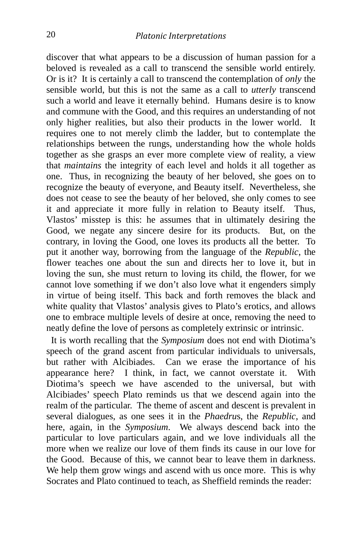discover that what appears to be a discussion of human passion for a beloved is revealed as a call to transcend the sensible world entirely. Or is it? It is certainly a call to transcend the contemplation of *only* the sensible world, but this is not the same as a call to *utterly* transcend such a world and leave it eternally behind. Humans desire is to know and commune with the Good, and this requires an understanding of not only higher realities, but also their products in the lower world. It requires one to not merely climb the ladder, but to contemplate the relationships between the rungs, understanding how the whole holds together as she grasps an ever more complete view of reality, a view that *maintains* the integrity of each level and holds it all together as one. Thus, in recognizing the beauty of her beloved, she goes on to recognize the beauty of everyone, and Beauty itself. Nevertheless, she does not cease to see the beauty of her beloved, she only comes to see it and appreciate it more fully in relation to Beauty itself. Thus, Vlastos' misstep is this: he assumes that in ultimately desiring the Good, we negate any sincere desire for its products. But, on the contrary, in loving the Good, one loves its products all the better. To put it another way, borrowing from the language of the *Republic*, the flower teaches one about the sun and directs her to love it, but in loving the sun, she must return to loving its child, the flower, for we cannot love something if we don't also love what it engenders simply in virtue of being itself. This back and forth removes the black and white quality that Vlastos' analysis gives to Plato's erotics, and allows one to embrace multiple levels of desire at once, removing the need to neatly define the love of persons as completely extrinsic or intrinsic.

 It is worth recalling that the *Symposium* does not end with Diotima's speech of the grand ascent from particular individuals to universals, but rather with Alcibiades. Can we erase the importance of his appearance here? I think, in fact, we cannot overstate it. With Diotima's speech we have ascended to the universal, but with Alcibiades' speech Plato reminds us that we descend again into the realm of the particular. The theme of ascent and descent is prevalent in several dialogues, as one sees it in the *Phaedru*s, the *Republic*, and here, again, in the *Symposium*. We always descend back into the particular to love particulars again, and we love individuals all the more when we realize our love of them finds its cause in our love for the Good. Because of this, we cannot bear to leave them in darkness. We help them grow wings and ascend with us once more. This is why Socrates and Plato continued to teach, as Sheffield reminds the reader: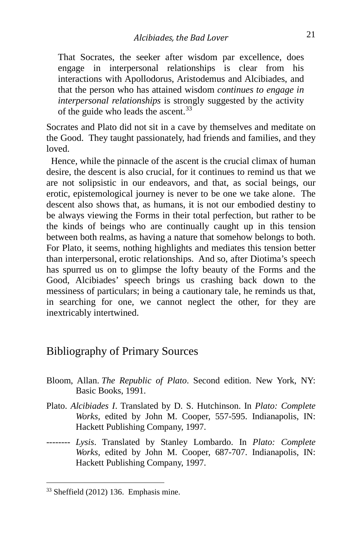That Socrates, the seeker after wisdom par excellence, does engage in interpersonal relationships is clear from his interactions with Apollodorus, Aristodemus and Alcibiades, and that the person who has attained wisdom *continues to engage in interpersonal relationships* is strongly suggested by the activity of the guide who leads the ascent.<sup>33</sup>

Socrates and Plato did not sit in a cave by themselves and meditate on the Good. They taught passionately, had friends and families, and they loved.

 Hence, while the pinnacle of the ascent is the crucial climax of human desire, the descent is also crucial, for it continues to remind us that we are not solipsistic in our endeavors, and that, as social beings, our erotic, epistemological journey is never to be one we take alone. The descent also shows that, as humans, it is not our embodied destiny to be always viewing the Forms in their total perfection, but rather to be the kinds of beings who are continually caught up in this tension between both realms, as having a nature that somehow belongs to both. For Plato, it seems, nothing highlights and mediates this tension better than interpersonal, erotic relationships. And so, after Diotima's speech has spurred us on to glimpse the lofty beauty of the Forms and the Good, Alcibiades' speech brings us crashing back down to the messiness of particulars; in being a cautionary tale, he reminds us that, in searching for one, we cannot neglect the other, for they are inextricably intertwined.

### Bibliography of Primary Sources

- Bloom, Allan. *The Republic of Plato*. Second edition. New York, NY: Basic Books, 1991.
- Plato. *Alcibiades I*. Translated by D. S. Hutchinson. In *Plato: Complete Works*, edited by John M. Cooper, 557-595. Indianapolis, IN: Hackett Publishing Company, 1997.
- -------- *Lysis*. Translated by Stanley Lombardo. In *Plato: Complete Works,* edited by John M. Cooper, 687-707. Indianapolis, IN: Hackett Publishing Company, 1997.

<span id="page-21-0"></span><sup>33</sup> Sheffield (2012) 136. Emphasis mine.